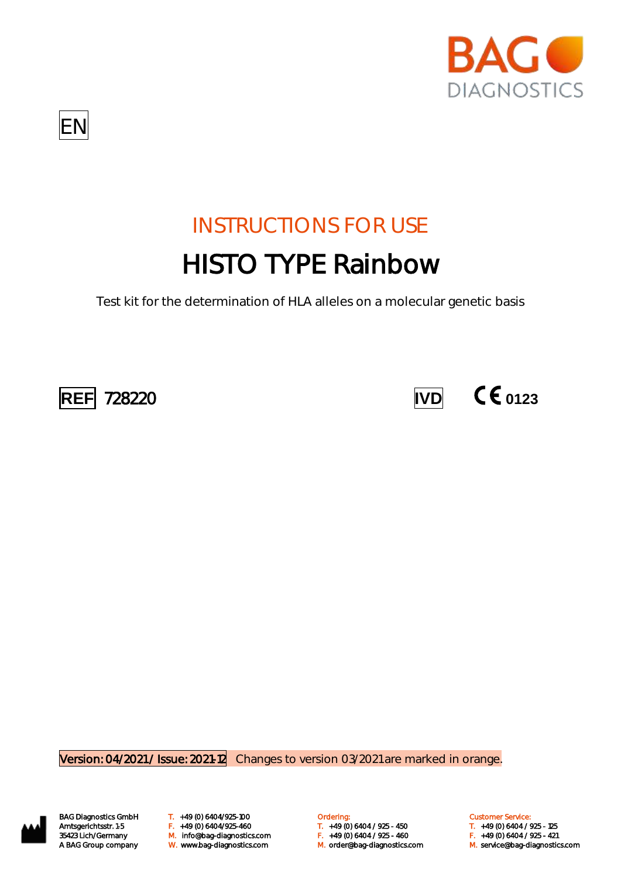



# INSTRUCTIONS FOR USE HISTO TYPE Rainbow

Test kit for the determination of HLA alleles on a molecular genetic basis





Version: 04/2021 / Issue: 2021-12 Changes to version 03/2021 are marked in orange.



BAG Diagnostics GmbH T. +49 (0) 6404/925-100 **Cambridge Condering:** Customer Service: Customer Service: M. orderlang-35423 Lich/Germany Changer M. info@bag-diagnostics.com Changer May 10 6404 / 925 - 450 F. +49 (0) 6404 / 925<br>35423 Lich/Germany M. info@bag-diagnostics.com F. +49 (0) 6404 / 925 - 460 F. +49 (0) 6404 / 925 - 421 A BAG Group company W. www.bag-diagnostics.com M. order@bag-diagnostics.com M. service@bag-diagnostics.com

Amtsgerichtsstr. 1-5 F. +49 (0) 6404/925-460 T. +49 (0) 6404 / 925 - 450 T. +49 (0) 6404 / 925 - 125

- 
-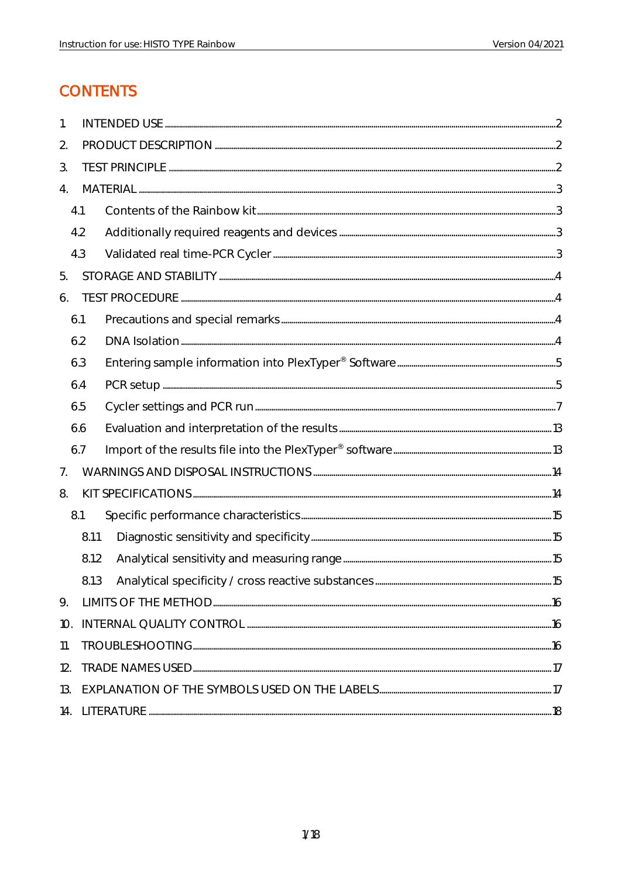## **CONTENTS**

| 1.  |       |                 |  |
|-----|-------|-----------------|--|
| 2.  |       |                 |  |
| 3.  |       |                 |  |
| 4.  |       |                 |  |
|     | 4.1   |                 |  |
|     | 4.2   |                 |  |
|     | 4.3   |                 |  |
| 5.  |       |                 |  |
| 6.  |       |                 |  |
|     | 6.1   |                 |  |
|     | 6.2   | $DNA~lsolation$ |  |
|     | 6.3   |                 |  |
|     | 6.4   |                 |  |
|     | 6.5   |                 |  |
|     | 6.6   |                 |  |
|     | 6.7   |                 |  |
| 7.  |       |                 |  |
| 8.  |       |                 |  |
|     | 8.1   |                 |  |
|     | 8.1.1 |                 |  |
|     | 8.1.2 |                 |  |
|     | 8.1.3 |                 |  |
| 9.  |       |                 |  |
| 10. |       |                 |  |
| 11. |       |                 |  |
| 12. |       |                 |  |
| 13. |       |                 |  |
| 14. |       |                 |  |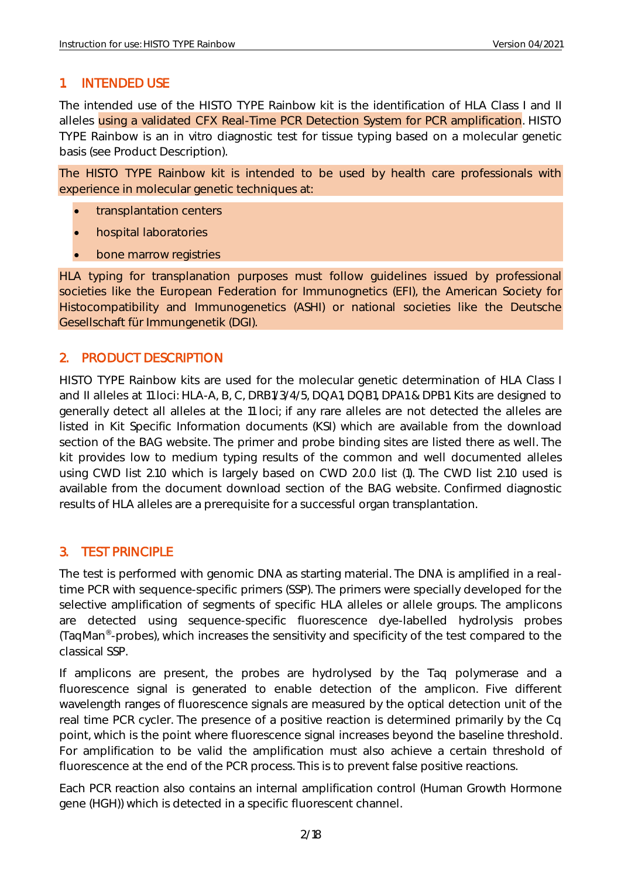#### <span id="page-2-0"></span>1. INTENDED USE

The intended use of the HISTO TYPE Rainbow kit is the identification of HLA Class I and II alleles using a validated CFX Real-Time PCR Detection System for PCR amplification. HISTO TYPE Rainbow is an in vitro diagnostic test for tissue typing based on a molecular genetic basis (see Product Description).

The HISTO TYPE Rainbow kit is intended to be used by health care professionals with experience in molecular genetic techniques at:

- transplantation centers
- hospital laboratories
- bone marrow registries

HLA typing for transplanation purposes must follow guidelines issued by professional societies like the European Federation for Immunognetics (EFI), the American Society for Histocompatibility and Immunogenetics (ASHI) or national societies like the Deutsche Gesellschaft für Immungenetik (DGI).

#### <span id="page-2-1"></span>2. PRODUCT DESCRIPTION

HISTO TYPE Rainbow kits are used for the molecular genetic determination of HLA Class I and II alleles at 11 loci: HLA-A, B, C, DRB1/3/4/5, DQA1, DQB1, DPA1 & DPB1. Kits are designed to generally detect all alleles at the 11 loci; if any rare alleles are not detected the alleles are listed in Kit Specific Information documents (KSI) which are available from the download section of the BAG website. The primer and probe binding sites are listed there as well. The kit provides low to medium typing results of the common and well documented alleles using CWD list 2.1.0 which is largely based on CWD 2.0.0 list (1). The CWD list 2.1.0 used is available from the document download section of the BAG website. Confirmed diagnostic results of HLA alleles are a prerequisite for a successful organ transplantation.

#### <span id="page-2-2"></span>3. TEST PRINCIPLE

The test is performed with genomic DNA as starting material. The DNA is amplified in a realtime PCR with sequence-specific primers (SSP). The primers were specially developed for the selective amplification of segments of specific HLA alleles or allele groups. The amplicons are detected using sequence-specific fluorescence dye-labelled hydrolysis probes (TaqMan® -probes), which increases the sensitivity and specificity of the test compared to the classical SSP.

If amplicons are present, the probes are hydrolysed by the Taq polymerase and a fluorescence signal is generated to enable detection of the amplicon. Five different wavelength ranges of fluorescence signals are measured by the optical detection unit of the real time PCR cycler. The presence of a positive reaction is determined primarily by the Cq point, which is the point where fluorescence signal increases beyond the baseline threshold. For amplification to be valid the amplification must also achieve a certain threshold of fluorescence at the end of the PCR process. This is to prevent false positive reactions.

Each PCR reaction also contains an internal amplification control (Human Growth Hormone gene (HGH)) which is detected in a specific fluorescent channel.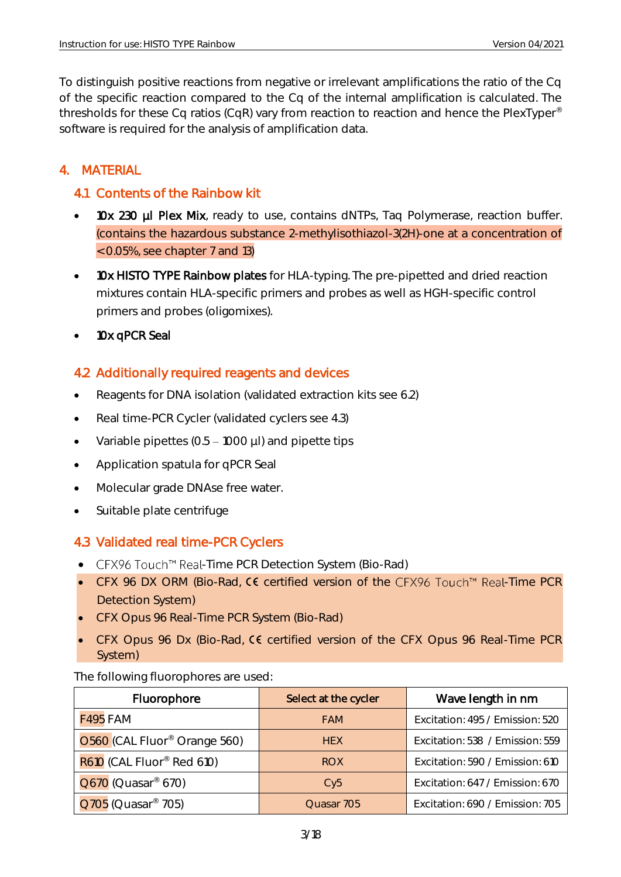To distinguish positive reactions from negative or irrelevant amplifications the ratio of the Cq of the specific reaction compared to the Cq of the internal amplification is calculated. The thresholds for these Cq ratios (CqR) vary from reaction to reaction and hence the PlexTyper® software is required for the analysis of amplification data.

### <span id="page-3-0"></span>4. MATERIAL

#### <span id="page-3-1"></span>4.1 Contents of the Rainbow kit

- 10x 230 µl Plex Mix, ready to use, contains dNTPs, Taq Polymerase, reaction buffer. (contains the hazardous substance 2-methylisothiazol-3(2H)-one at a concentration of < 0.05%, see chapter 7 and 13)
- 10x HISTO TYPE Rainbow plates for HLA-typing. The pre-pipetted and dried reaction mixtures contain HLA-specific primers and probes as well as HGH-specific control primers and probes (oligomixes).
- 10x qPCR Seal

#### <span id="page-3-2"></span>4.2 Additionally required reagents and devices

- Reagents for DNA isolation (validated extraction kits see 6.2)
- Real time-PCR Cycler (validated cyclers see 4.3)
- Variable pipettes  $(0.5 1000 \mu l)$  and pipette tips
- Application spatula for qPCR Seal
- Molecular grade DNAse free water.
- Suitable plate centrifuge

#### <span id="page-3-3"></span>4.3 Validated real time-PCR Cyclers

- CFX96 Touch<sup>™</sup> Real-Time PCR Detection System (Bio-Rad)
- CFX 96 DX ORM (Bio-Rad,  $C\epsilon$  certified version of the CFX96 Touch<sup>m</sup> Real-Time PCR Detection System)
- CFX Opus 96 Real-Time PCR System (Bio-Rad)
- CFX Opus 96 Dx (Bio-Rad, CC certified version of the CFX Opus 96 Real-Time PCR System)

The following fluorophores are used:

| Fluorophore                              | Select at the cycler | Wave length in nm               |
|------------------------------------------|----------------------|---------------------------------|
| <b>F495 FAM</b>                          | <b>FAM</b>           | Excitation: 495 / Emission: 520 |
| O560 (CAL Fluor <sup>®</sup> Orange 560) | <b>HEX</b>           | Excitation: 538 / Emission: 559 |
| R610 (CAL Fluor <sup>®</sup> Red 610)    | <b>ROX</b>           | Excitation: 590 / Emission: 610 |
| $Q670$ (Quasar <sup>®</sup> 670)         | Cv5                  | Excitation: 647 / Emission: 670 |
| Q705 (Quasar <sup>®</sup> 705)           | Quasar 705           | Excitation: 690 / Emission: 705 |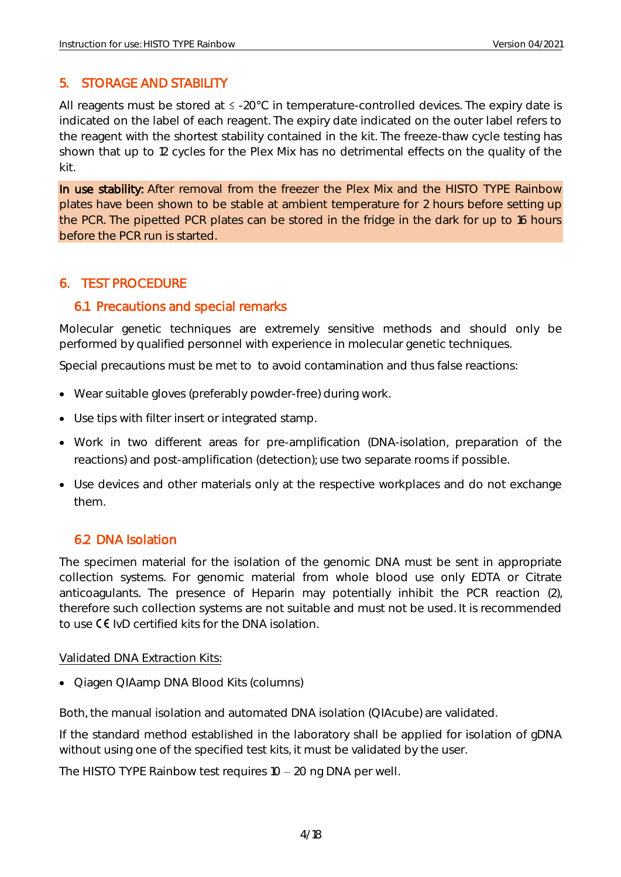#### <span id="page-4-0"></span>5. STORAGE AND STABILITY

All reagents must be stored at  $\leq$  -20°C in temperature-controlled devices. The expiry date is indicated on the label of each reagent. The expiry date indicated on the outer label refers to the reagent with the shortest stability contained in the kit. The freeze-thaw cycle testing has shown that up to 12 cycles for the Plex Mix has no detrimental effects on the quality of the kit.

In use stability: After removal from the freezer the Plex Mix and the HISTO TYPE Rainbow plates have been shown to be stable at ambient temperature for 2 hours before setting up the PCR. The pipetted PCR plates can be stored in the fridge in the dark for up to 16 hours before the PCR run is started.

#### <span id="page-4-1"></span>6. TEST PROCEDURE

#### <span id="page-4-2"></span>6.1 Precautions and special remarks

Molecular genetic techniques are extremely sensitive methods and should only be performed by qualified personnel with experience in molecular genetic techniques.

Special precautions must be met to to avoid contamination and thus false reactions:

- Wear suitable gloves (preferably powder-free) during work.
- Use tips with filter insert or integrated stamp.
- Work in two different areas for pre-amplification (DNA-isolation, preparation of the reactions) and post-amplification (detection); use two separate rooms if possible.
- Use devices and other materials only at the respective workplaces and do not exchange them.

#### <span id="page-4-3"></span>6.2 DNA Isolation

The specimen material for the isolation of the genomic DNA must be sent in appropriate collection systems. For genomic material from whole blood use only EDTA or Citrate anticoagulants. The presence of Heparin may potentially inhibit the PCR reaction (2), therefore such collection systems are not suitable and must not be used. It is recommended to use  $\mathsf{C}\mathsf{E}$  IvD certified kits for the DNA isolation.

#### Validated DNA Extraction Kits:

• Qiagen QIAamp DNA Blood Kits (columns)

Both, the manual isolation and automated DNA isolation (QIAcube) are validated.

If the standard method established in the laboratory shall be applied for isolation of gDNA without using one of the specified test kits, it must be validated by the user.

The HISTO TYPE Rainbow test requires  $10 - 20$  ng DNA per well.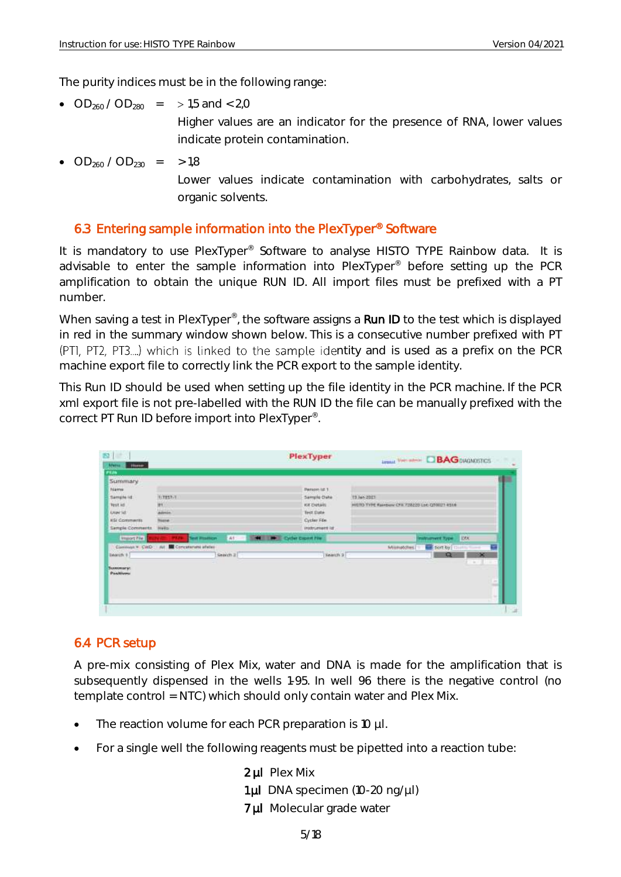The purity indices must be in the following range:

- $OD_{260} / OD_{280}$  = > 1,5 and < 2,0 Higher values are an indicator for the presence of RNA, lower values indicate protein contamination.
- $OD_{260} / OD_{230}$  = > 1,8 Lower values indicate contamination with carbohydrates, salts or organic solvents.

#### <span id="page-5-0"></span>6.3 Entering sample information into the PlexTyper® Software

It is mandatory to use PlexTyper<sup>®</sup> Software to analyse HISTO TYPE Rainbow data. It is advisable to enter the sample information into PlexTyper® before setting up the PCR amplification to obtain the unique RUN ID. All import files must be prefixed with a PT number.

When saving a test in PlexTyper<sup>®</sup>, the software assigns a Run ID to the test which is displayed in red in the summary window shown below. This is a consecutive number prefixed with PT (PTI, PT2, PT3....) which is linked to the sample identity and is used as a prefix on the PCR machine export file to correctly link the PCR export to the sample identity.

This Run ID should be used when setting up the file identity in the PCR machine. If the PCR xml export file is not pre-labelled with the RUN ID the file can be manually prefixed with the correct PT Run ID before import into PlexTyper® .

|                                            |                |          |                              | <b>Longal View Interior C BAG DIAGNOSTICS</b>                                                         |                                             |
|--------------------------------------------|----------------|----------|------------------------------|-------------------------------------------------------------------------------------------------------|---------------------------------------------|
|                                            |                |          |                              |                                                                                                       |                                             |
|                                            |                |          |                              |                                                                                                       |                                             |
|                                            |                |          |                              |                                                                                                       |                                             |
| <b>WEBSTAR</b>                             |                |          |                              | T3 Jun 2011                                                                                           |                                             |
| <b>H1</b>                                  |                |          |                              |                                                                                                       |                                             |
|                                            |                |          |                              |                                                                                                       |                                             |
| <b>Tissue</b>                              |                |          |                              |                                                                                                       |                                             |
| Help:                                      |                |          |                              |                                                                                                       |                                             |
| <b>Tievit Pleathlorn</b>                   | (41)<br>-      |          |                              | <b>TOOK</b><br><b>Instrument Type:</b>                                                                |                                             |
| Convenir * CWD : Ail S Concelenate effeter |                |          |                              | sort by 1<br>Militiatizites.                                                                          | ÷                                           |
|                                            |                |          |                              | Q                                                                                                     | $\infty$                                    |
|                                            |                |          |                              | $-1$                                                                                                  |                                             |
|                                            |                |          |                              |                                                                                                       |                                             |
|                                            |                |          |                              |                                                                                                       | $\sim$                                      |
|                                            |                |          |                              |                                                                                                       |                                             |
|                                            |                |          |                              |                                                                                                       |                                             |
|                                            |                |          |                              |                                                                                                       |                                             |
|                                            | <b>Advecia</b> | Search 2 | <b>M B</b> Cycler Cross Fire | Pattons lat 1<br>Sample Date<br>Kit Details<br>Test Date<br>Cycler File<br>instrument ist:<br>Newch 3 | HISTO TYPE Rambow CPS 728220 Let COULD RSLK |

#### <span id="page-5-1"></span>6.4 PCR setup

A pre-mix consisting of Plex Mix, water and DNA is made for the amplification that is subsequently dispensed in the wells 1-95. In well 96 there is the negative control (no template control = NTC) which should only contain water and Plex Mix.

- The reaction volume for each PCR preparation is 10 µl.
- For a single well the following reagents must be pipetted into a reaction tube:
	- 2 µl Plex Mix
	- 1µl DNA specimen (10-20 ng/µl)
	- 7 µl Molecular grade water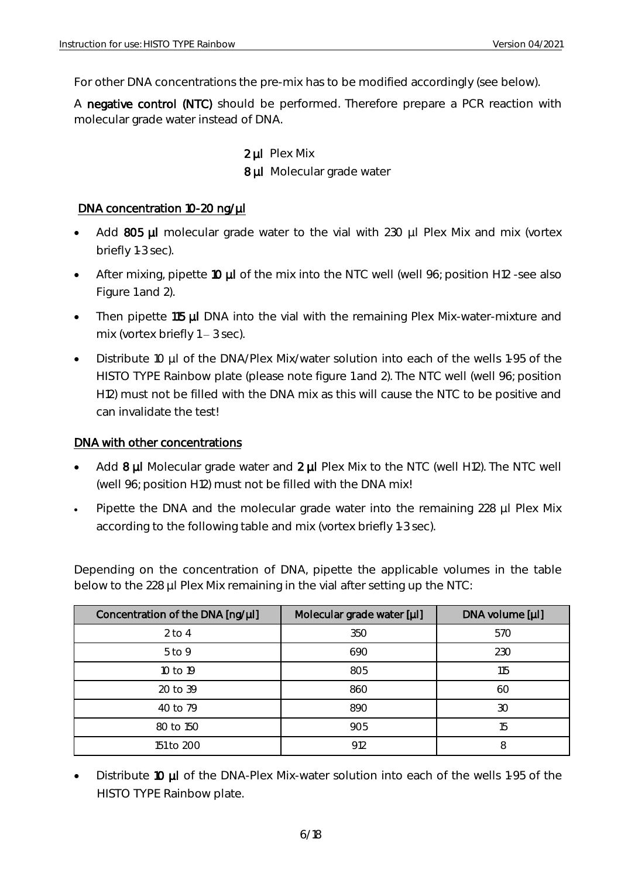For other DNA concentrations the pre-mix has to be modified accordingly (see below).

A negative control (NTC) should be performed. Therefore prepare a PCR reaction with molecular grade water instead of DNA.

> 2 µl Plex Mix 8 µl Molecular grade water

#### DNA concentration 10-20 ng/µl

- Add 805 µl molecular grade water to the vial with 230 µl Plex Mix and mix (vortex briefly 1-3 sec).
- After mixing, pipette 10 µl of the mix into the NTC well (well 96; position H12 -see also Figure 1 and 2).
- Then pipette 115 µl DNA into the vial with the remaining Plex Mix-water-mixture and mix (vortex briefly  $1 - 3$  sec).
- Distribute 10 µl of the DNA/Plex Mix/water solution into each of the wells 1-95 of the HISTO TYPE Rainbow plate (please note figure 1 and 2). The NTC well (well 96; position H12) must not be filled with the DNA mix as this will cause the NTC to be positive and can invalidate the test!

#### DNA with other concentrations

- Add  $8 \mu$ I Molecular grade water and  $2 \mu$ I Plex Mix to the NTC (well H12). The NTC well (well 96; position H12) must not be filled with the DNA mix!
- Pipette the DNA and the molecular grade water into the remaining 228 µl Plex Mix according to the following table and mix (vortex briefly 1-3 sec).

Depending on the concentration of DNA, pipette the applicable volumes in the table below to the 228 µl Plex Mix remaining in the vial after setting up the NTC:

| Concentration of the DNA [ng/µl] | Molecular grade water [µl] | DNA volume [µl] |
|----------------------------------|----------------------------|-----------------|
| $2$ to 4                         | 350                        | 570             |
| $5$ to 9                         | 690                        | 230             |
| 10 to 19                         | 805                        | 115             |
| 20 to 39                         | 860                        | 60              |
| 40 to 79                         | 890                        | 30              |
| 80 to 150                        | 905                        | 15              |
| 151 to 200                       | 912                        | 8               |

Distribute 10 µl of the DNA-Plex Mix-water solution into each of the wells 1-95 of the HISTO TYPE Rainbow plate.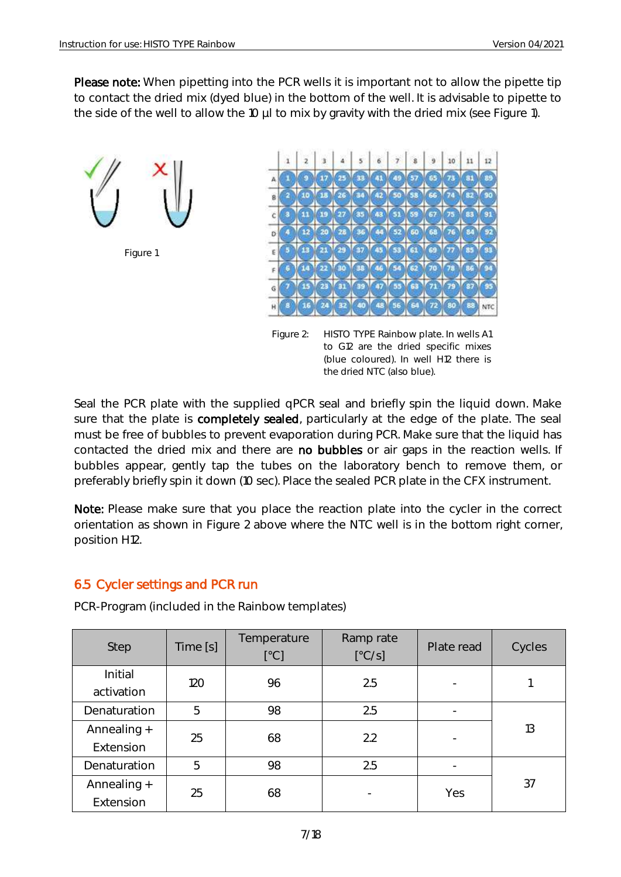Please note: When pipetting into the PCR wells it is important not to allow the pipette tip to contact the dried mix (dyed blue) in the bottom of the well. It is advisable to pipette to the side of the well to allow the 10 µl to mix by gravity with the dried mix (see Figure 1).



Seal the PCR plate with the supplied qPCR seal and briefly spin the liquid down. Make sure that the plate is completely sealed, particularly at the edge of the plate. The seal must be free of bubbles to prevent evaporation during PCR. Make sure that the liquid has contacted the dried mix and there are no bubbles or air gaps in the reaction wells. If bubbles appear, gently tap the tubes on the laboratory bench to remove them, or preferably briefly spin it down (10 sec). Place the sealed PCR plate in the CFX instrument.

Note: Please make sure that you place the reaction plate into the cycler in the correct orientation as shown in Figure 2 above where the NTC well is in the bottom right corner, position H12.

#### <span id="page-7-0"></span>6.5 Cycler settings and PCR run

| Step                     | Time [s] | Temperature<br>[°C] | Ramp rate<br>[°C/s] | Plate read | Cycles |
|--------------------------|----------|---------------------|---------------------|------------|--------|
| Initial<br>activation    | 120      | 96                  | 2.5                 |            |        |
| Denaturation             | 5        | 98                  | 2.5                 |            |        |
| Annealing +<br>Extension | 25       | 68                  | 2.2                 |            | 13     |
| Denaturation             | 5        | 98                  | 2.5                 |            |        |
| Annealing +<br>Extension | 25       | 68                  |                     | Yes        | 37     |

PCR-Program (included in the Rainbow templates)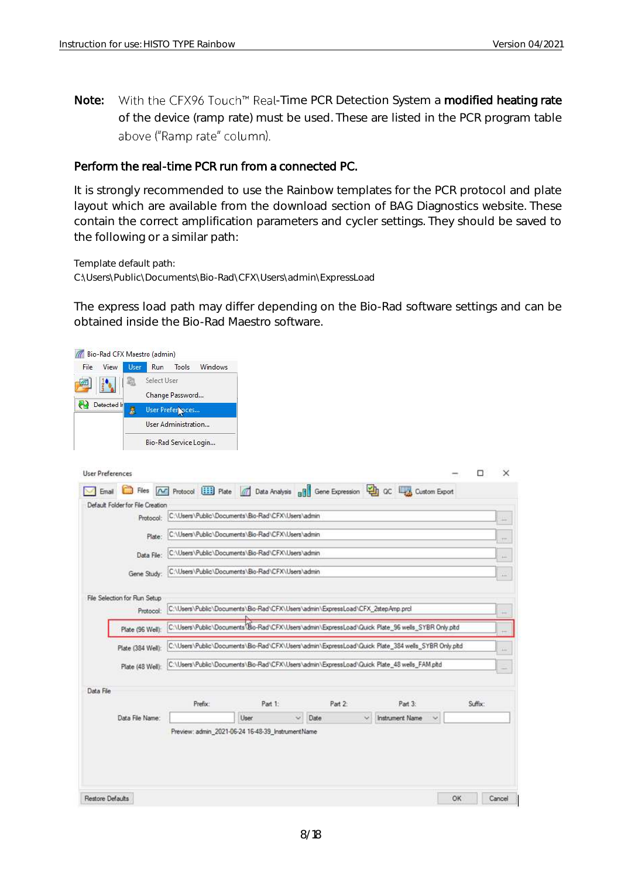Note: With the CFX96 Touch™ Real-Time PCR Detection System a modified heating rate of the device (ramp rate) must be used. These are listed in the PCR program table above ("Ramp rate" column).

#### Perform the real-time PCR run from a connected PC.

It is strongly recommended to use the Rainbow templates for the PCR protocol and plate layout which are available from the download section of BAG Diagnostics website. These contain the correct amplification parameters and cycler settings. They should be saved to the following or a similar path:

Template default path: C:\Users\Public\Documents\Bio-Rad\CFX\Users\admin\ExpressLoad

The express load path may differ depending on the Bio-Rad software settings and can be obtained inside the Bio-Rad Maestro software.

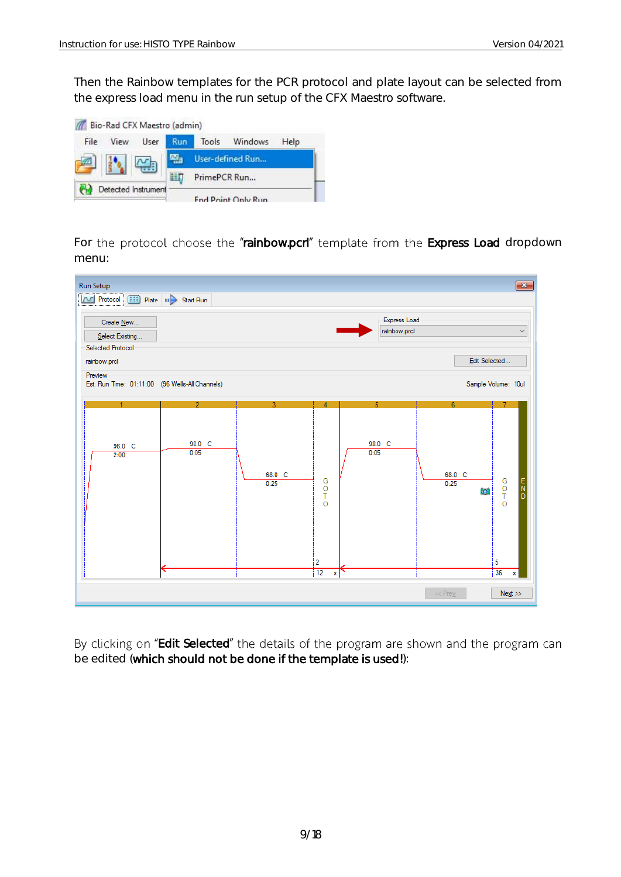Then the Rainbow templates for the PCR protocol and plate layout can be selected from the express load menu in the run setup of the CFX Maestro software.



For the protocol choose the "rainbow.pcrl" template from the Express Load dropdown menu:

| Selected Protocol<br>Edit Selected<br>rainbow.prcl<br>Preview<br>Sample Volume: 10ul<br>Est. Run Time: 01:11:00 (96 Wells-All Channels)<br>3.<br>5<br>$\overline{2}$<br>4<br>6<br>98.0 C<br>98.0 C<br>96.0 C<br>0:05<br>0:05<br>2:00<br>68.0 C<br>68.0 C<br>G<br>G<br>T<br>O<br>$\begin{array}{c} E \\ N \\ D \end{array}$<br>0:25<br>0:25<br>O<br>$\bullet$<br>T<br>$\circ$<br>2<br>5<br>$\frac{1}{2}$<br>36<br>x<br>$\mathbf x$ | <b>Run Setup</b><br>M Protocol [111] Plate   11 > Start Run<br>Create New<br>Select Existing |  | Express Load<br>rainbow.prcl | $\mathbf{x}$<br>$\checkmark$ |
|-----------------------------------------------------------------------------------------------------------------------------------------------------------------------------------------------------------------------------------------------------------------------------------------------------------------------------------------------------------------------------------------------------------------------------------|----------------------------------------------------------------------------------------------|--|------------------------------|------------------------------|
|                                                                                                                                                                                                                                                                                                                                                                                                                                   |                                                                                              |  |                              |                              |
|                                                                                                                                                                                                                                                                                                                                                                                                                                   |                                                                                              |  |                              |                              |
|                                                                                                                                                                                                                                                                                                                                                                                                                                   |                                                                                              |  |                              |                              |

By clicking on "Edit Selected" the details of the program are shown and the program can be edited (which should not be done if the template is used!):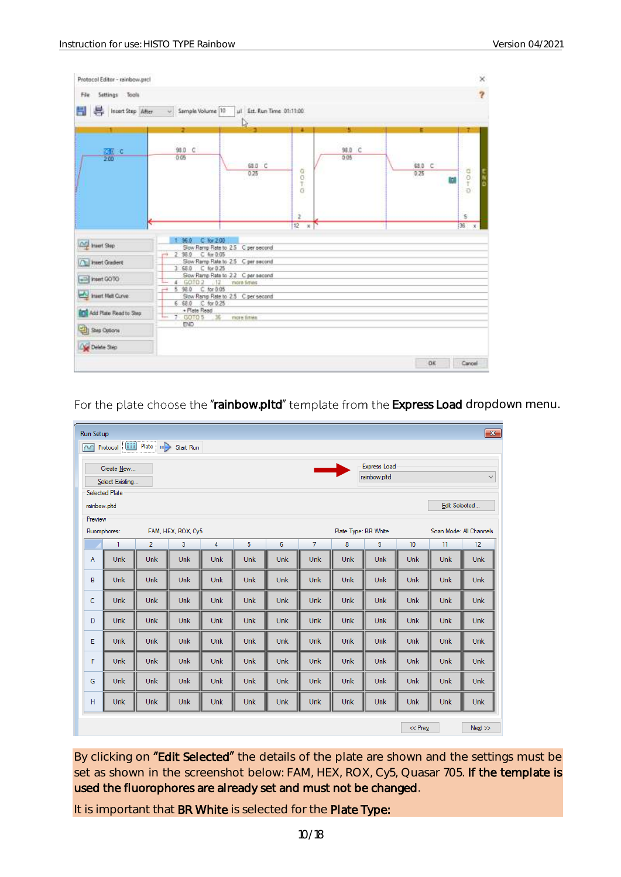| Settings Tools<br>File         |                                            |                                                    |                            |                      |                     | $\times$<br>$\overline{\mathbf{r}}$ |
|--------------------------------|--------------------------------------------|----------------------------------------------------|----------------------------|----------------------|---------------------|-------------------------------------|
| Insert Step After<br>H<br>器    | - Sample Volume 10                         | ul Est. Run Time 01:11:00<br>D.                    |                            |                      |                     |                                     |
| $\frac{77}{200}$ C             | э<br>98.D C<br>0.05                        | 68.0 C<br>0.25                                     | ٠<br>$0 + 0.5$             | s.<br>98.0 C<br>0.05 | п<br>68.0 C<br>0.25 | 中の中<br>н                            |
|                                |                                            |                                                    | $\overline{2}$<br>12<br>ŵ. |                      |                     | 5<br>136                            |
| A huert Step                   | $C$ for $2.00$<br>36.0                     | Slow Ramp Rate to 2.5 C per second                 |                            |                      |                     |                                     |
| <b>The Invest Gradent</b>      | 2 98.0 C for 0.05<br>3 68.0 C for 0.25     | Slow Ramp Rate to 2.5 C per second                 |                            |                      |                     |                                     |
| hsert GOTO                     | 60102<br>4<br>$-112$                       | Slow Ramp Rate to 22 C per second<br>more firries. |                            |                      |                     |                                     |
| huert Met Curve                | C: for 0.05<br>5 98.0<br>6 68.0 C for 0:25 | Slow Ramp Rate to 2.5 C per second                 |                            |                      |                     |                                     |
| <b>Add Flate Read to Step:</b> | + Plate Read<br>$-36$<br>7 00105           | more firms                                         |                            |                      |                     |                                     |
| <b>City</b> Step Options       | <b>END</b>                                 |                                                    |                            |                      |                     |                                     |
| Delate Step                    |                                            |                                                    |                            |                      |                     |                                     |
|                                |                                            |                                                    |                            |                      | <b>DK</b>           | Cancel                              |

For the plate choose the "rainbow.pltd" template from the Express Load dropdown menu.

|               | $\mathbf{x}$<br><b>Run Setup</b><br>Protocol [111] Plate   11 > Start Run       |                |                    |            |     |            |            |            |                      |            |            |                         |  |
|---------------|---------------------------------------------------------------------------------|----------------|--------------------|------------|-----|------------|------------|------------|----------------------|------------|------------|-------------------------|--|
| M             |                                                                                 |                |                    |            |     |            |            |            |                      |            |            |                         |  |
|               | <b>Express Load</b><br><u>and</u><br>Create New<br>$\checkmark$<br>rainbow.pltd |                |                    |            |     |            |            |            |                      |            |            |                         |  |
|               | Select Existing<br><b>Selected Plate</b>                                        |                |                    |            |     |            |            |            |                      |            |            |                         |  |
|               | Edit Selected<br>rainbow.pltd                                                   |                |                    |            |     |            |            |            |                      |            |            |                         |  |
| Preview       |                                                                                 |                |                    |            |     |            |            |            |                      |            |            |                         |  |
| Fluorophores: |                                                                                 |                | FAM, HEX, ROX, Cy5 |            |     |            |            |            | Plate Type: BR White |            |            | Scan Mode: All Channels |  |
|               | $\mathbf{1}$                                                                    | $\overline{2}$ | 3                  | 4          | 5   | 6          | 7          | 8          | 9                    | 10         | 11         | 12                      |  |
| A             | Unk                                                                             | Unk            | Unk                | <b>Unk</b> | Unk | Unk        | Unk        | <b>Unk</b> | Unk                  | <b>Unk</b> | Unk        | Unk                     |  |
| B             | Unk                                                                             | <b>Unk</b>     | Unk                | <b>Unk</b> | Unk | Unk        | Unk        | <b>Unk</b> | Unk                  | <b>Unk</b> | <b>Unk</b> | Unk                     |  |
| c             | Unk                                                                             | <b>Unk</b>     | <b>Unk</b>         | <b>Unk</b> | Unk | <b>Unk</b> | Unk        | <b>Unk</b> | Unk                  | <b>Unk</b> | Unk        | <b>Unk</b>              |  |
| D             | Unk                                                                             | Unk            | Unk                | <b>Unk</b> | Unk | Unk        | Unk        | Unk        | Unk                  | Unk        | Unk        | Unk                     |  |
| E             | Unk                                                                             | <b>Unk</b>     | Unk                | <b>Unk</b> | Unk | <b>Unk</b> | Unk        | <b>Unk</b> | Unk                  | <b>Unk</b> | <b>Unk</b> | <b>Unk</b>              |  |
| F             | Unk                                                                             | Unk            | Unk                | <b>Unk</b> | Unk | Unk        | Unk        | Unk        | Unk                  | <b>Unk</b> | <b>Unk</b> | Unk                     |  |
| G             | Unk                                                                             | Unk            | Unk                | <b>Unk</b> | Unk | <b>Unk</b> | Unk        | <b>Unk</b> | Unk                  | <b>Unk</b> | Unk        | Unk                     |  |
| н             | Unk                                                                             | <b>Unk</b>     | Unk                | <b>Unk</b> | Unk | <b>Unk</b> | <b>Unk</b> | <b>Unk</b> | Unk                  | <b>Unk</b> | <b>Unk</b> | <b>Unk</b>              |  |
|               |                                                                                 |                |                    |            |     |            |            |            |                      | $<<$ Prev  |            | Next                    |  |

By clicking on "Edit Selected" the details of the plate are shown and the settings must be set as shown in the screenshot below: FAM, HEX, ROX, Cy5, Quasar 705. If the template is used the fluorophores are already set and must not be changed.

It is important that BR White is selected for the Plate Type: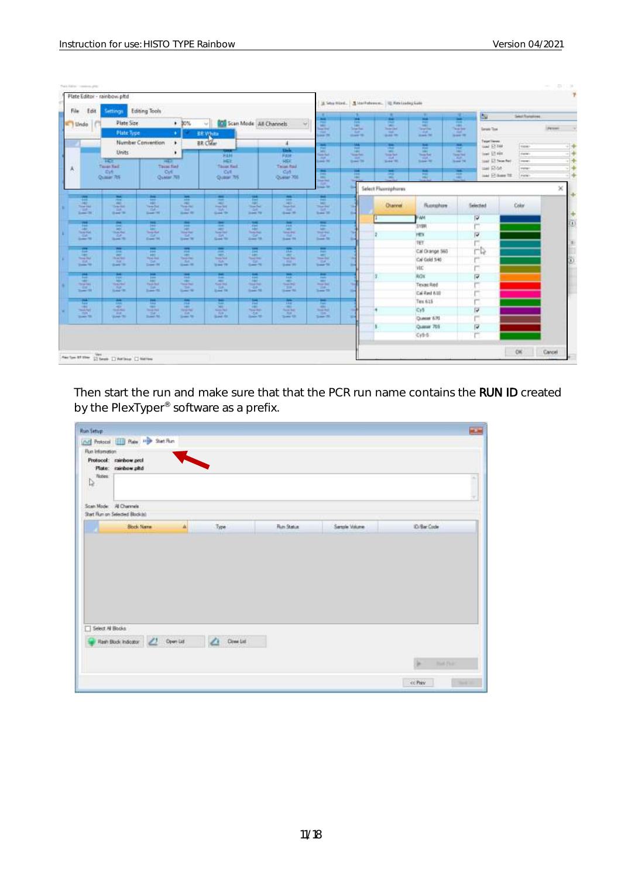| File<br>Edit                                 | Settings                                            | Editing Tools                         |                                                 |                                                |                                     |                                                                                                                     | ш                                                                            | $\rightarrow$                                                                | ٠                                                                                                                                                                 | и<br>ш                                                                             | <b>ISU</b><br>mar.                                                             | <b>Select Fluingmous</b> |                 |
|----------------------------------------------|-----------------------------------------------------|---------------------------------------|-------------------------------------------------|------------------------------------------------|-------------------------------------|---------------------------------------------------------------------------------------------------------------------|------------------------------------------------------------------------------|------------------------------------------------------------------------------|-------------------------------------------------------------------------------------------------------------------------------------------------------------------|------------------------------------------------------------------------------------|--------------------------------------------------------------------------------|--------------------------|-----------------|
| Undo                                         | Plate Size<br><b>Plate Type</b>                     |                                       | $+ 30%$<br>n.                                   | Co Scan Mode All Channels<br><b>BR Village</b> |                                     | $\sim$                                                                                                              | $\overline{a}$<br><b>MAG</b><br><b>Searcher</b><br>$-145$<br><b>CARL PRE</b> | <b>Ball</b><br><b>Sec.</b><br><b>Seatter</b><br><b>TIP</b><br><b>DOM: NO</b> | <b>SALE</b><br>$\frac{1}{2} \left( \frac{1}{2} \right) \left( \frac{1}{2} \right) \left( \frac{1}{2} \right)$<br><b>Searched</b><br><b>THE</b><br><b>SEARCHER</b> | $\frac{1}{2}$<br>$\frac{1}{2}$<br><b>Total Corp.</b><br>$-111$<br><b>State Off</b> | <b>Park</b><br><b>Said Mar</b><br><b>Tenni Ten</b><br><b>Tart</b><br>team fit. |                          | <b>Piercent</b> |
|                                              |                                                     | Number Convention                     | ٠                                               | <b>BR</b> Clear                                |                                     | ×.                                                                                                                  | Ħ                                                                            | tag                                                                          | $\equiv$                                                                                                                                                          | Total I                                                                            | Tager Tiever<br>w.<br>tool 57 Feb                                              | Faire.                   | $\frac{1}{2}$   |
|                                              | Units:                                              |                                       | ٠                                               | <b>STATE</b><br><b>FAH</b>                     |                                     | $u_{nk}$<br><b>FAX</b>                                                                                              | <b>MAY </b><br><b>Contract</b>                                               | <b>Fell</b><br>出                                                             | <b>COLOR</b><br>$\frac{1}{2} \left( \frac{1}{2} \right) \left( \frac{1}{2} \right) \left( \frac{1}{2} \right)$<br><b>Simples</b>                                  | <b>Fall</b><br>m<br><b>Search</b>                                                  | PHF.<br><b>HELL</b><br>low ET Hitt<br>TelePaid                                 | darks)                   |                 |
|                                              | m<br><b>Toral Vall</b>                              | 797<br>Time Fed                       |                                                 | HET<br>Taires Hall                             |                                     | <b>HEK</b><br>Taise Rad                                                                                             | mit.<br><b>Card Str.</b>                                                     | <b>Card</b><br><b>Street Till</b>                                            | <b>SILE</b><br><b>Suite Mi</b>                                                                                                                                    | <b>STEP</b><br>Solar 740                                                           | <b>CEAN</b><br>lied El Nonted<br>Super Tel                                     | (report)                 |                 |
| д                                            | Dift<br>Quasier 705                                 | <b>O/I</b><br>Oskiar 761              |                                                 | C <sub>(R)</sub><br>Quase 7W                   |                                     | City<br>Ocean 70E                                                                                                   | π                                                                            | н<br>m                                                                       | н<br>$\equiv$                                                                                                                                                     | E                                                                                  | sai Riot<br>Ŧ<br>last \$7.0am fit.                                             | states:<br>(Februa)      |                 |
|                                              |                                                     |                                       |                                                 |                                                |                                     |                                                                                                                     | ÷<br>mar. for                                                                |                                                                              | Select Fluorophones                                                                                                                                               |                                                                                    |                                                                                |                          | ×               |
| E                                            | 歴<br>Metri.                                         | ш                                     | 盡<br><b>HALL</b>                                | ՠ<br>$-1$                                      | 嵤<br>ر بالا                         | ÷<br><b>JAN</b>                                                                                                     | ш<br>Age 1                                                                   |                                                                              | Olanna                                                                                                                                                            | Ruseashure                                                                         | Selected                                                                       | <b>Color</b>             |                 |
| <b>Search Man</b><br><b>TILL</b><br>$1 - 24$ | <b>The particular</b><br><b>CARD</b><br><b>SAFE</b> | ÷<br><b>South 198</b>                 | <b>Septima</b><br><b>TAR</b><br><b>State Rd</b> | $\frac{1}{2}$<br>Table<br>Since the            | <b>GAT</b><br><b>Sam To</b>         | <b>Teacher</b><br><b>Tak</b><br><b>Seat 19</b>                                                                      | This or Grid<br><b>LEE</b><br><b>Sand 29</b>                                 | <b>Big</b>                                                                   |                                                                                                                                                                   |                                                                                    |                                                                                |                          |                 |
|                                              | 農                                                   | п                                     | 井                                               | ÷                                              | ÷                                   | 岸                                                                                                                   | н                                                                            |                                                                              |                                                                                                                                                                   | FW4                                                                                | ν                                                                              |                          |                 |
| 田<br><b>Tech Field</b>                       | <b>ABC</b><br><b>They first</b>                     | نتشا                                  | <b>PER</b><br><b>Market</b>                     | <b>SHEET</b><br><b><i><u>Searched</u></i></b>  | 潭<br><b>Total Page</b>              | ×<br><b>Sea Fox</b>                                                                                                 | Age:<br><b>SHEEK</b>                                                         |                                                                              |                                                                                                                                                                   | <b>SYER</b>                                                                        | ٣                                                                              |                          |                 |
| <b>CALL</b><br><b>Select Print</b>           | 1 Call<br><b>Sept. 10</b>                           | <b>CAT</b><br>Expert 1941             | 54<br><b>Service</b>                            | <b>CAL</b><br><b>Grand Md</b>                  | s<br>$2 - 16$                       | <b>Tul</b><br>Search PA                                                                                             | 49.95<br>South Rd.                                                           |                                                                              |                                                                                                                                                                   | PEN                                                                                | P<br>j.                                                                        |                          |                 |
|                                              | <b>COLOR</b>                                        | <b>POST</b>                           | <b>Security</b>                                 | -                                              |                                     | 産                                                                                                                   | π                                                                            |                                                                              |                                                                                                                                                                   | TET                                                                                |                                                                                |                          |                 |
| Ę<br><b>Tomage Star</b>                      | ALL<br><b>CONT</b><br>The last Next                 | m<br><b>Legal</b><br><b>Thial Box</b> | <b>PRESS</b><br><b>COLL</b><br><b>Seat For</b>  | $\equiv$<br><b>Rowsell Broad</b>               | 厧<br><b>Tourist Barr</b>            | <b>CALL I</b><br><b>Tour Bay</b>                                                                                    | <b>ARC</b><br>Though Bake                                                    |                                                                              |                                                                                                                                                                   | Cal Orange 560                                                                     | гÞ                                                                             |                          |                 |
| $-141$<br>$-2$                               | <b>THE</b><br><b>State Str.</b>                     | DO.<br>Limit 36                       | 14.<br>Grant Hill                               | Tub.<br><b>Street PA</b>                       | m<br><b>Search</b>                  | $\frac{1}{2}$                                                                                                       | 2541<br><b>Small</b> No.                                                     |                                                                              |                                                                                                                                                                   | Cal Gold 540                                                                       | r                                                                              |                          |                 |
| ш                                            | $\overline{\phantom{a}}$                            | pos.                                  | 罛                                               | н                                              | Ħ                                   | 筺                                                                                                                   | ≖                                                                            |                                                                              |                                                                                                                                                                   | VIC.                                                                               | r                                                                              |                          |                 |
| <b>SALE</b><br><b>Party Ford</b>             | part.<br><b>Hart</b><br><b>Hall</b> Roll            | m<br><b><i>Dans Rod</i></b>           | <b>Service</b><br><b>Total Park</b>             | $-1$<br><b>Kanada</b>                          | <b>Sept 1</b><br><b>The Address</b> | $\sim$<br><b>Search Roll</b>                                                                                        | 100<br><b>HALL</b><br><b>Change State</b>                                    |                                                                              |                                                                                                                                                                   | <b>ROX</b>                                                                         | ν                                                                              |                          |                 |
| <b>THE</b><br>$2 - 1$                        | <b>CRUIT</b><br><b>Sale W.</b>                      | $\frac{1}{2}$                         | <b>START</b><br><b>Sent W</b>                   | $10 - 10$                                      | in the<br><b>Daniel Mil</b>         | <b>TOP</b><br><b>Sheep May</b>                                                                                      | 温暖                                                                           |                                                                              |                                                                                                                                                                   | <b>Texas Red</b><br>Cal Red 6.10                                                   | ٣                                                                              |                          |                 |
| 쁪                                            | ÷                                                   |                                       | ÷                                               | е                                              | Ħ                                   | m                                                                                                                   | н                                                                            |                                                                              |                                                                                                                                                                   | Tex 615                                                                            | r                                                                              |                          |                 |
| <b>Seat Ford</b>                             | <b>ARCHITECT</b><br><b>System</b>                   | н<br>m<br><b>The Act of Act of</b>    | <b>HELP</b><br><b>STATISTICS</b>                | $-1$<br><b>Soldie Regis</b>                    | 1961                                | $\frac{1}{2} \left( \frac{1}{2} \right) \left( \frac{1}{2} \right) \left( \frac{1}{2} \right)$<br><b>Terms Auto</b> | $-44 + 1$<br><b>THE ROAD</b>                                                 |                                                                              |                                                                                                                                                                   | Cy5                                                                                | г<br>Ν                                                                         |                          |                 |
| <b>STATE</b><br>Search Till                  | <b>FILE</b><br><b>Gold Will</b>                     | 124.1                                 | Tim.<br>Street, Title                           | $7 + 1$<br>See or                              | 帷<br><b>Saint Mt.</b>               | <b>Little</b><br><b>Senior</b> MX                                                                                   | $\frac{1}{2}$                                                                | m                                                                            |                                                                                                                                                                   | Queen 670                                                                          | ٣                                                                              |                          |                 |
|                                              |                                                     |                                       |                                                 |                                                |                                     |                                                                                                                     |                                                                              |                                                                              |                                                                                                                                                                   | Queser 705                                                                         | Θ                                                                              |                          |                 |
|                                              |                                                     |                                       |                                                 |                                                |                                     |                                                                                                                     |                                                                              |                                                                              |                                                                                                                                                                   | Cy5-5                                                                              | Ë                                                                              |                          |                 |

Then start the run and make sure that that the PCR run name contains the RUN ID created by the PlexTyper<sup>®</sup> software as a prefix.

| Run Information | [Ad] Protocol [11] Plate   Har Shet Flun                    |          |                      |                   |               |                                |
|-----------------|-------------------------------------------------------------|----------|----------------------|-------------------|---------------|--------------------------------|
| Nobes<br>ţ,     | Protocol: rainbow.prof<br>Plate: rainbow.pltd               |          |                      |                   |               |                                |
|                 | Scan Mode: All Charavale<br>Start Run on Selected Block (e) |          |                      |                   |               |                                |
|                 | <b>Block Name</b>                                           | $\Delta$ | Type                 | <b>Run Status</b> | Sangle Volume | (D/Bar Code)                   |
|                 |                                                             |          |                      |                   |               |                                |
|                 |                                                             |          |                      |                   |               |                                |
| Select Al Books | Rash Block Indicator 23 Open List                           |          | Drew Lid<br>$\Delta$ |                   |               |                                |
|                 |                                                             |          |                      |                   |               | <b>Ball Plain</b><br><b>IF</b> |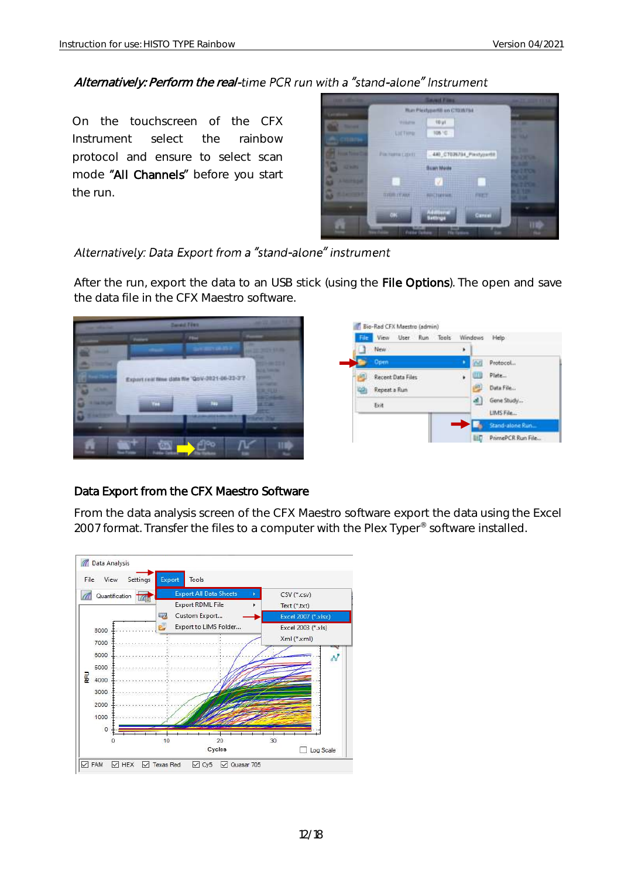#### Alternatively: Perform the real-time PCR run with a "stand-alone" Instrument

On the touchscreen of the CFX Instrument select the rainbow protocol and ensure to select scan mode "All Channels" before you start the run.



#### Alternatively: Data Export from a "stand-alone" instrument

After the run, export the data to an USB stick (using the File Options). The open and save the data file in the CFX Maestro software.



#### Data Export from the CFX Maestro Software

From the data analysis screen of the CFX Maestro software export the data using the Excel 2007 format. Transfer the files to a computer with the Plex Typer® software installed.

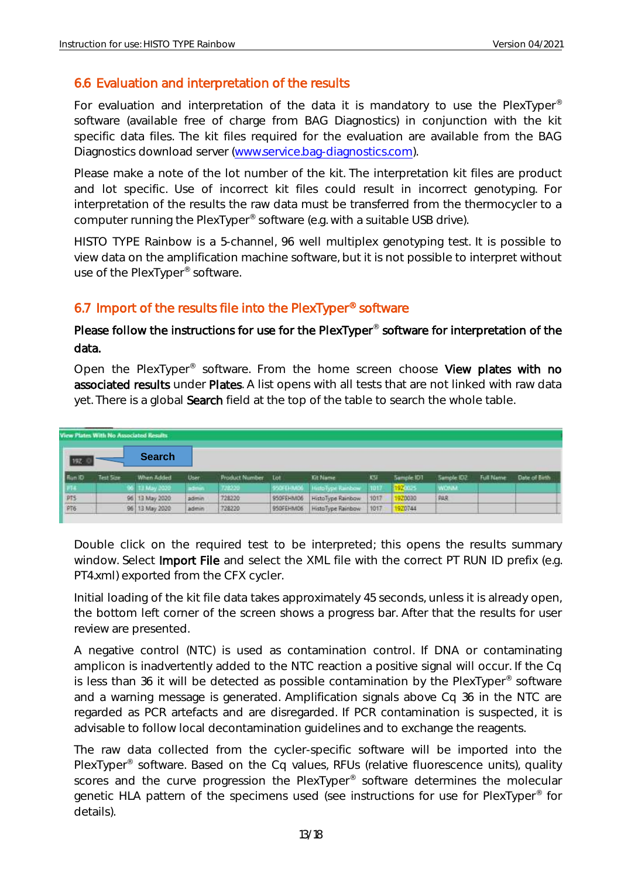#### <span id="page-13-0"></span>6.6 Evaluation and interpretation of the results

For evaluation and interpretation of the data it is mandatory to use the PlexTyper® software (available free of charge from BAG Diagnostics) in conjunction with the kit specific data files. The kit files required for the evaluation are available from the BAG Diagnostics download server [\(www.service.bag-diagnostics.com\)](http://www.service.bag-diagnostics.com/).

Please make a note of the lot number of the kit. The interpretation kit files are product and lot specific. Use of incorrect kit files could result in incorrect genotyping. For interpretation of the results the raw data must be transferred from the thermocycler to a computer running the PlexTyper® software (e.g. with a suitable USB drive).

HISTO TYPE Rainbow is a 5-channel, 96 well multiplex genotyping test. It is possible to view data on the amplification machine software, but it is not possible to interpret without use of the PlexTyper® software.

#### <span id="page-13-1"></span>6.7 Import of the results file into the PlexTyper® software

#### Please follow the instructions for use for the PlexTyper<sup>®</sup> software for interpretation of the data.

Open the PlexTyper<sup>®</sup> software. From the home screen choose View plates with no associated results under Plates. A list opens with all tests that are not linked with raw data yet. There is a global Search field at the top of the table to search the whole table.

| View Plates With No Associated Results |           |                            |       |                           |           |                             |      |            |             |                  |               |
|----------------------------------------|-----------|----------------------------|-------|---------------------------|-----------|-----------------------------|------|------------|-------------|------------------|---------------|
| 197 <sub>1</sub>                       |           | <b>Search</b>              |       |                           |           |                             |      |            |             |                  |               |
| <b>Run ID</b>                          | Test Size | When Added                 | User  | <b>Product Number Lot</b> |           | <b>Kit Name</b>             | KSI  | Sample IDT | Sample IDZ  | <b>Full Name</b> | Date of Birth |
| -266                                   |           | ,,,,,,,,<br>96 13 May 2020 | admin | 7212230                   |           | 950FEHM00 HittoType Rainbow | 1017 | 192003     | <b>WONA</b> |                  |               |
|                                        |           | 96 13 May 2020             | admin | 728220                    | 950FEHM06 | HistoType Rainbow           | 1017 | 920030     | PAR         |                  |               |
| PT5<br>PT6                             |           | 96 13 May 2020             | admin | 728220                    |           | 950FEHM06 HistoType Rainbow | 1017 | 1920744    |             |                  |               |

Double click on the required test to be interpreted; this opens the results summary window. Select Import File and select the XML file with the correct PT RUN ID prefix (e.g. PT4.xml) exported from the CFX cycler.

Initial loading of the kit file data takes approximately 45 seconds, unless it is already open, the bottom left corner of the screen shows a progress bar. After that the results for user review are presented.

A negative control (NTC) is used as contamination control. If DNA or contaminating amplicon is inadvertently added to the NTC reaction a positive signal will occur. If the Cq is less than 36 it will be detected as possible contamination by the PlexTyper<sup>®</sup> software and a warning message is generated. Amplification signals above Cq 36 in the NTC are regarded as PCR artefacts and are disregarded. If PCR contamination is suspected, it is advisable to follow local decontamination guidelines and to exchange the reagents.

The raw data collected from the cycler-specific software will be imported into the PlexTyper<sup>®</sup> software. Based on the Cq values, RFUs (relative fluorescence units), quality scores and the curve progression the PlexTyper<sup>®</sup> software determines the molecular genetic HLA pattern of the specimens used (see instructions for use for PlexTyper<sup>®</sup> for details).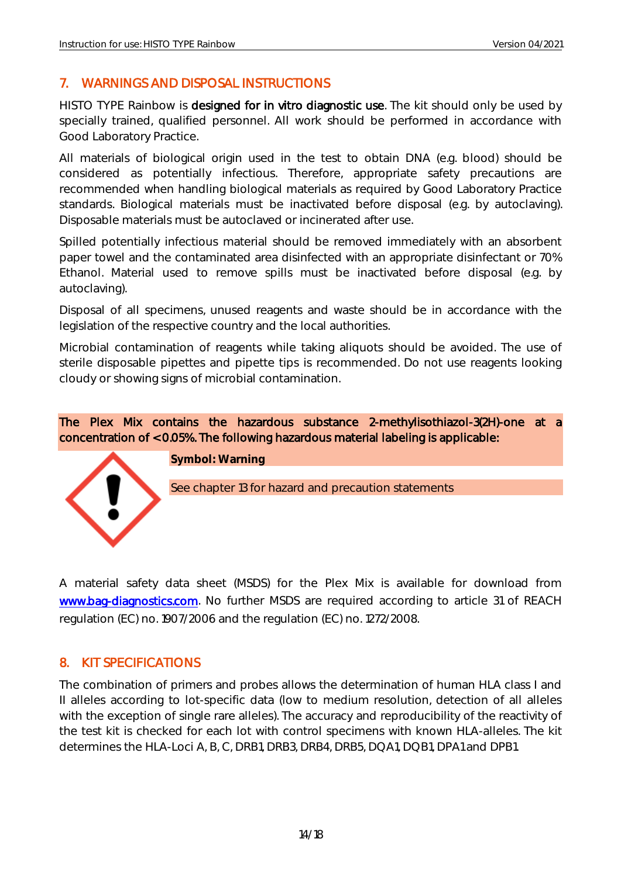#### <span id="page-14-0"></span>7. WARNINGS AND DISPOSAL INSTRUCTIONS

HISTO TYPE Rainbow is designed for in vitro diagnostic use. The kit should only be used by specially trained, qualified personnel. All work should be performed in accordance with Good Laboratory Practice.

All materials of biological origin used in the test to obtain DNA (e.g. blood) should be considered as potentially infectious. Therefore, appropriate safety precautions are recommended when handling biological materials as required by Good Laboratory Practice standards. Biological materials must be inactivated before disposal (e.g. by autoclaving). Disposable materials must be autoclaved or incinerated after use.

Spilled potentially infectious material should be removed immediately with an absorbent paper towel and the contaminated area disinfected with an appropriate disinfectant or 70% Ethanol. Material used to remove spills must be inactivated before disposal (e.g. by autoclaving).

Disposal of all specimens, unused reagents and waste should be in accordance with the legislation of the respective country and the local authorities.

Microbial contamination of reagents while taking aliquots should be avoided. The use of sterile disposable pipettes and pipette tips is recommended. Do not use reagents looking cloudy or showing signs of microbial contamination.

The Plex Mix contains the hazardous substance 2-methylisothiazol-3(2H)-one at a concentration of < 0.05%. The following hazardous material labeling is applicable:



A material safety data sheet (MSDS) for the Plex Mix is available for download from [www.bag-diagnostics.com.](http://www.bag-diagnostics.com/) No further MSDS are required according to article 31 of REACH regulation (EC) no. 1907/2006 and the regulation (EC) no. 1272/2008.

#### <span id="page-14-1"></span>8. KIT SPECIFICATIONS

The combination of primers and probes allows the determination of human HLA class I and II alleles according to lot-specific data (low to medium resolution, detection of all alleles with the exception of single rare alleles). The accuracy and reproducibility of the reactivity of the test kit is checked for each lot with control specimens with known HLA-alleles. The kit determines the HLA-Loci A, B, C, DRB1, DRB3, DRB4, DRB5, DQA1, DQB1, DPA1 and DPB1.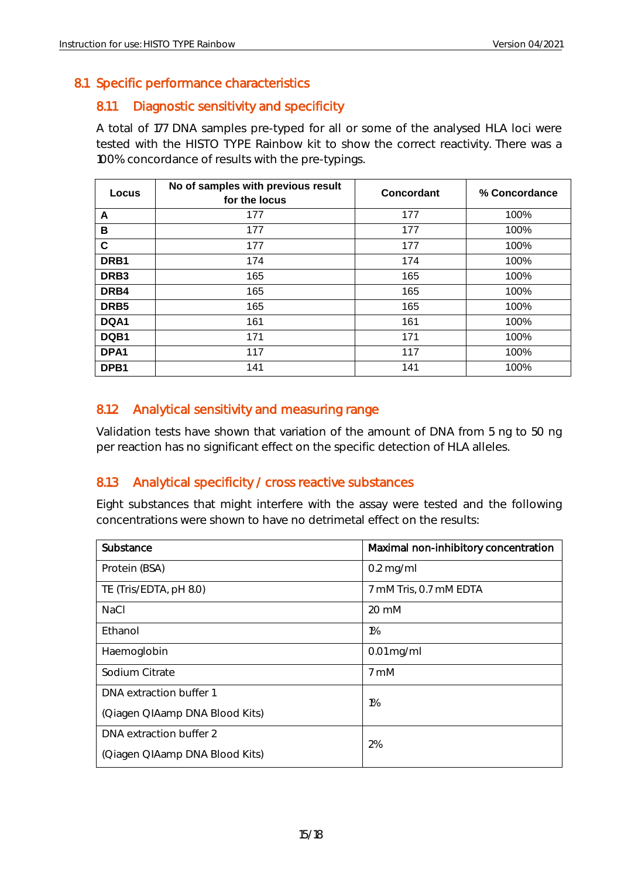#### <span id="page-15-1"></span><span id="page-15-0"></span>8.1 Specific performance characteristics

#### 8.1.1 Diagnostic sensitivity and specificity

A total of 177 DNA samples pre-typed for all or some of the analysed HLA loci were tested with the HISTO TYPE Rainbow kit to show the correct reactivity. There was a 100% concordance of results with the pre-typings.

| Locus            | No of samples with previous result<br>for the locus | Concordant | % Concordance |
|------------------|-----------------------------------------------------|------------|---------------|
| A                | 177                                                 | 177        | 100%          |
| в                | 177                                                 | 177        | 100%          |
| $\mathbf c$      | 177                                                 | 177        | 100%          |
| DRB1             | 174                                                 | 174        | 100%          |
| DRB <sub>3</sub> | 165                                                 | 165        | 100%          |
| DRB4             | 165                                                 | 165        | 100%          |
| DRB <sub>5</sub> | 165                                                 | 165        | 100%          |
| DQA1             | 161                                                 | 161        | 100%          |
| DQB1             | 171                                                 | 171        | 100%          |
| DPA <sub>1</sub> | 117                                                 | 117        | 100%          |
| DPB <sub>1</sub> | 141                                                 | 141        | 100%          |

#### <span id="page-15-2"></span>8.1.2 Analytical sensitivity and measuring range

Validation tests have shown that variation of the amount of DNA from 5 ng to 50 ng per reaction has no significant effect on the specific detection of HLA alleles.

#### <span id="page-15-3"></span>8.1.3 Analytical specificity / cross reactive substances

Eight substances that might interfere with the assay were tested and the following concentrations were shown to have no detrimetal effect on the results:

<span id="page-15-4"></span>

| Substance                      | Maximal non-inhibitory concentration |  |
|--------------------------------|--------------------------------------|--|
| Protein (BSA)                  | $0.2$ mg/ml                          |  |
| TE (Tris/EDTA, pH 8.0)         | 7 mM Tris, 0.7 mM EDTA               |  |
| <b>NaCl</b>                    | $20 \text{ mM}$                      |  |
| Ethanol                        | $1\%$                                |  |
| Haemoglobin                    | $0.01$ mg/ml                         |  |
| Sodium Citrate                 | 7 mM                                 |  |
| DNA extraction buffer 1        | $1\%$                                |  |
| (Qiagen QIAamp DNA Blood Kits) |                                      |  |
| DNA extraction buffer 2<br>2%  |                                      |  |
| (Qiagen QIAamp DNA Blood Kits) |                                      |  |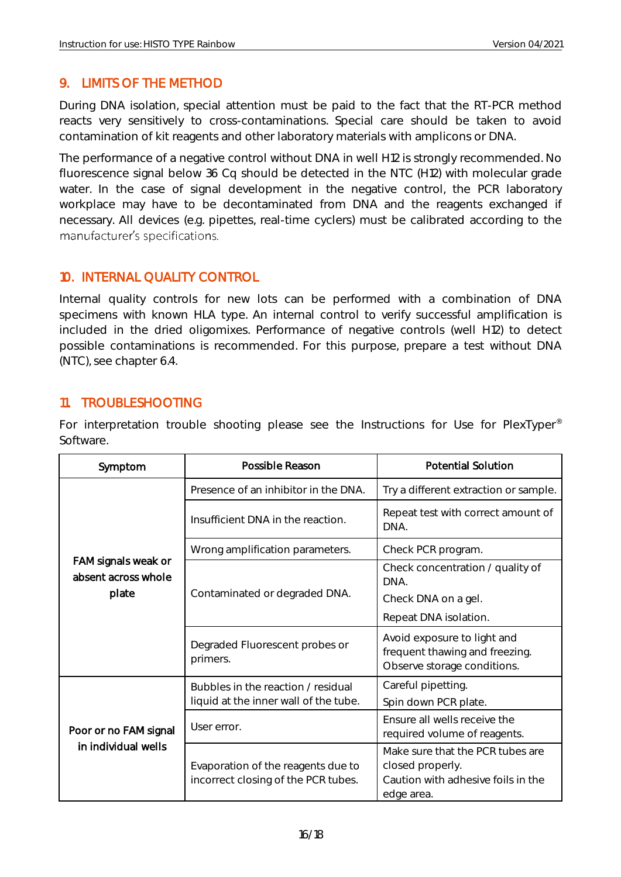#### 9. LIMITS OF THE METHOD

During DNA isolation, special attention must be paid to the fact that the RT-PCR method reacts very sensitively to cross-contaminations. Special care should be taken to avoid contamination of kit reagents and other laboratory materials with amplicons or DNA.

The performance of a negative control without DNA in well H12 is strongly recommended. No fluorescence signal below 36 Cq should be detected in the NTC (H12) with molecular grade water. In the case of signal development in the negative control, the PCR laboratory workplace may have to be decontaminated from DNA and the reagents exchanged if necessary. All devices (e.g. pipettes, real-time cyclers) must be calibrated according to the manufacturer's specifications.

#### <span id="page-16-0"></span>10. INTERNAL QUALITY CONTROL

Internal quality controls for new lots can be performed with a combination of DNA specimens with known HLA type. An internal control to verify successful amplification is included in the dried oligomixes. Performance of negative controls (well H12) to detect possible contaminations is recommended. For this purpose, prepare a test without DNA (NTC), see chapter 6.4.

#### <span id="page-16-1"></span>11. TROUBLESHOOTING

For interpretation trouble shooting please see the Instructions for Use for PlexTyper<sup>®</sup> Software.

| Symptom                                             | Possible Reason                                                           | <b>Potential Solution</b>                                                                                |  |
|-----------------------------------------------------|---------------------------------------------------------------------------|----------------------------------------------------------------------------------------------------------|--|
| FAM signals weak or<br>absent across whole<br>plate | Presence of an inhibitor in the DNA.                                      | Try a different extraction or sample.                                                                    |  |
|                                                     | Insufficient DNA in the reaction.                                         | Repeat test with correct amount of<br>DNA.                                                               |  |
|                                                     | Wrong amplification parameters.                                           | Check PCR program.                                                                                       |  |
|                                                     |                                                                           | Check concentration / quality of<br>DNA.                                                                 |  |
|                                                     | Contaminated or degraded DNA.                                             | Check DNA on a gel.                                                                                      |  |
|                                                     |                                                                           | Repeat DNA isolation.                                                                                    |  |
|                                                     | Degraded Fluorescent probes or<br>primers.                                | Avoid exposure to light and<br>frequent thawing and freezing.<br>Observe storage conditions.             |  |
| Poor or no FAM signal<br>in individual wells        | Bubbles in the reaction / residual                                        | Careful pipetting.                                                                                       |  |
|                                                     | liquid at the inner wall of the tube.                                     | Spin down PCR plate.                                                                                     |  |
|                                                     | User error.                                                               | Ensure all wells receive the<br>required volume of reagents.                                             |  |
|                                                     | Evaporation of the reagents due to<br>incorrect closing of the PCR tubes. | Make sure that the PCR tubes are<br>closed properly.<br>Caution with adhesive foils in the<br>edge area. |  |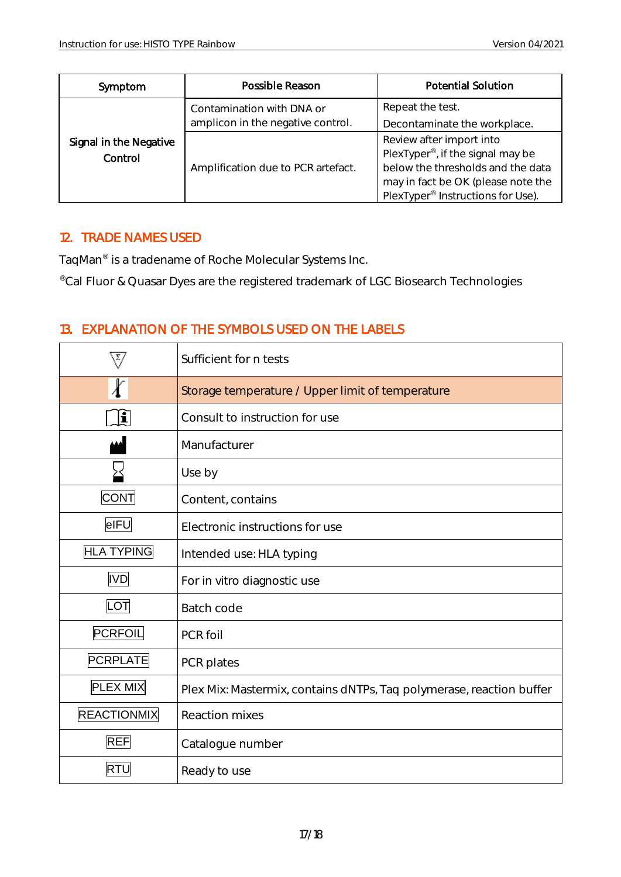| Symptom                           | Possible Reason                                                | <b>Potential Solution</b>                                                                                                                                                                             |
|-----------------------------------|----------------------------------------------------------------|-------------------------------------------------------------------------------------------------------------------------------------------------------------------------------------------------------|
| Signal in the Negative<br>Control | Contamination with DNA or<br>amplicon in the negative control. | Repeat the test.<br>Decontaminate the workplace.                                                                                                                                                      |
|                                   | Amplification due to PCR artefact.                             | Review after import into<br>PlexTyper <sup>®</sup> , if the signal may be<br>below the thresholds and the data<br>may in fact be OK (please note the<br>PlexTyper <sup>®</sup> Instructions for Use). |

#### <span id="page-17-0"></span>12. TRADE NAMES USED

TaqMan® is a tradename of Roche Molecular Systems Inc.

<span id="page-17-1"></span>®Cal Fluor & Quasar Dyes are the registered trademark of LGC Biosearch Technologies

#### 13. EXPLANATION OF THE SYMBOLS USED ON THE LABELS

|                    | Sufficient for n tests                                               |  |  |
|--------------------|----------------------------------------------------------------------|--|--|
|                    | Storage temperature / Upper limit of temperature                     |  |  |
| $ \mathbf{i} $     | Consult to instruction for use                                       |  |  |
|                    | Manufacturer                                                         |  |  |
|                    | Use by                                                               |  |  |
| <b>CONT</b>        | Content, contains                                                    |  |  |
| elFU               | Electronic instructions for use                                      |  |  |
| <b>HLA TYPING</b>  | Intended use: HLA typing                                             |  |  |
| <b>IVD</b>         | For in vitro diagnostic use                                          |  |  |
| LOT                | Batch code                                                           |  |  |
| PCRFOIL            | PCR foil                                                             |  |  |
| <b>PCRPLATE</b>    | PCR plates                                                           |  |  |
| <b>PLEX MIX</b>    | Plex Mix: Mastermix, contains dNTPs, Taq polymerase, reaction buffer |  |  |
| <b>REACTIONMIX</b> | <b>Reaction mixes</b>                                                |  |  |
| <b>REF</b>         | Catalogue number                                                     |  |  |
| <b>RTU</b>         | Ready to use                                                         |  |  |